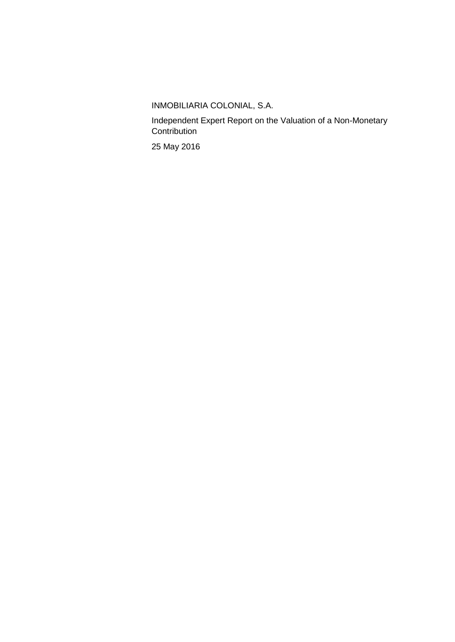INMOBILIARIA COLONIAL, S.A.

Independent Expert Report on the Valuation of a Non-Monetary **Contribution** 

25 May 2016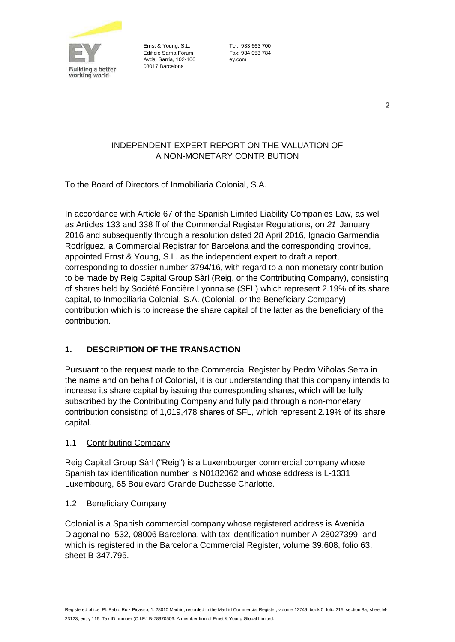

Ernst & Young, S.L. Tel.: 933 663 700 Edificio Sarria Fòrum Fax: 934 053 784 Avda. Sarrià, 102-106 ey.com 08017 Barcelona

# INDEPENDENT EXPERT REPORT ON THE VALUATION OF A NON-MONETARY CONTRIBUTION

To the Board of Directors of Inmobiliaria Colonial, S.A.

In accordance with Article 67 of the Spanish Limited Liability Companies Law, as well as Articles 133 and 338 ff of the Commercial Register Regulations, on *21* January 2016 and subsequently through a resolution dated 28 April 2016, Ignacio Garmendia Rodríguez, a Commercial Registrar for Barcelona and the corresponding province, appointed Ernst & Young, S.L. as the independent expert to draft a report, corresponding to dossier number 3794/16, with regard to a non-monetary contribution to be made by Reig Capital Group Sàrl (Reig, or the Contributing Company), consisting of shares held by Société Foncière Lyonnaise (SFL) which represent 2.19% of its share capital, to Inmobiliaria Colonial, S.A. (Colonial, or the Beneficiary Company), contribution which is to increase the share capital of the latter as the beneficiary of the contribution.

# **1. DESCRIPTION OF THE TRANSACTION**

Pursuant to the request made to the Commercial Register by Pedro Viñolas Serra in the name and on behalf of Colonial, it is our understanding that this company intends to increase its share capital by issuing the corresponding shares, which will be fully subscribed by the Contributing Company and fully paid through a non-monetary contribution consisting of 1,019,478 shares of SFL, which represent 2.19% of its share capital.

#### 1.1 Contributing Company

Reig Capital Group Sàrl ("Reig") is a Luxembourger commercial company whose Spanish tax identification number is N0182062 and whose address is L-1331 Luxembourg, 65 Boulevard Grande Duchesse Charlotte.

#### 1.2 Beneficiary Company

Colonial is a Spanish commercial company whose registered address is Avenida Diagonal no. 532, 08006 Barcelona, with tax identification number A-28027399, and which is registered in the Barcelona Commercial Register, volume 39.608, folio 63, sheet B-347.795.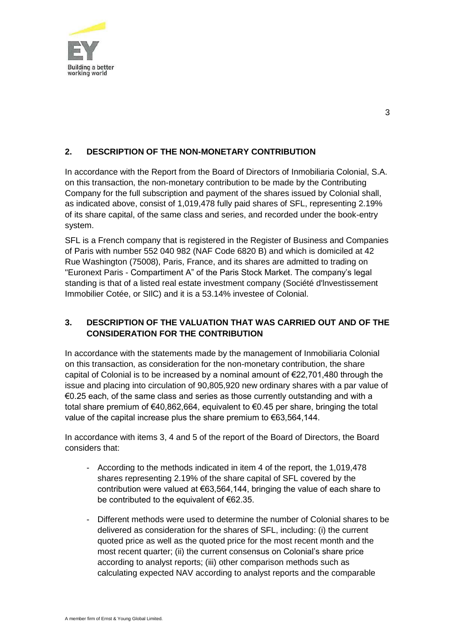

# **2. DESCRIPTION OF THE NON-MONETARY CONTRIBUTION**

In accordance with the Report from the Board of Directors of Inmobiliaria Colonial, S.A. on this transaction, the non-monetary contribution to be made by the Contributing Company for the full subscription and payment of the shares issued by Colonial shall, as indicated above, consist of 1,019,478 fully paid shares of SFL, representing 2.19% of its share capital, of the same class and series, and recorded under the book-entry system.

SFL is a French company that is registered in the Register of Business and Companies of Paris with number 552 040 982 (NAF Code 6820 B) and which is domiciled at 42 Rue Washington (75008), Paris, France, and its shares are admitted to trading on "Euronext Paris - Compartiment A" of the Paris Stock Market. The company's legal standing is that of a listed real estate investment company (Société d'lnvestissement Immobilier Cotée, or SIlC) and it is a 53.14% investee of Colonial.

# **3. DESCRIPTION OF THE VALUATION THAT WAS CARRIED OUT AND OF THE CONSIDERATION FOR THE CONTRIBUTION**

In accordance with the statements made by the management of Inmobiliaria Colonial on this transaction, as consideration for the non-monetary contribution, the share capital of Colonial is to be increased by a nominal amount of €22,701,480 through the issue and placing into circulation of 90,805,920 new ordinary shares with a par value of €0.25 each, of the same class and series as those currently outstanding and with a total share premium of €40,862,664, equivalent to €0.45 per share, bringing the total value of the capital increase plus the share premium to €63,564,144.

In accordance with items 3, 4 and 5 of the report of the Board of Directors, the Board considers that:

- According to the methods indicated in item 4 of the report, the 1,019,478 shares representing 2.19% of the share capital of SFL covered by the contribution were valued at €63,564,144, bringing the value of each share to be contributed to the equivalent of €62.35.
- Different methods were used to determine the number of Colonial shares to be delivered as consideration for the shares of SFL, including: (i) the current quoted price as well as the quoted price for the most recent month and the most recent quarter; (ii) the current consensus on Colonial's share price according to analyst reports; (iii) other comparison methods such as calculating expected NAV according to analyst reports and the comparable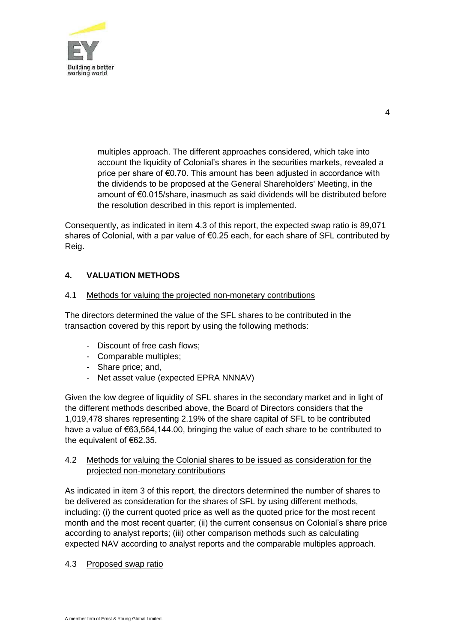

4

multiples approach. The different approaches considered, which take into account the liquidity of Colonial's shares in the securities markets, revealed a price per share of €0.70. This amount has been adjusted in accordance with the dividends to be proposed at the General Shareholders' Meeting, in the amount of €0.015/share, inasmuch as said dividends will be distributed before the resolution described in this report is implemented.

Consequently, as indicated in item 4.3 of this report, the expected swap ratio is 89,071 shares of Colonial, with a par value of €0.25 each, for each share of SFL contributed by Reig.

# **4. VALUATION METHODS**

#### 4.1 Methods for valuing the projected non-monetary contributions

The directors determined the value of the SFL shares to be contributed in the transaction covered by this report by using the following methods:

- Discount of free cash flows;
- Comparable multiples;
- Share price; and,
- Net asset value (expected EPRA NNNAV)

Given the low degree of liquidity of SFL shares in the secondary market and in light of the different methods described above, the Board of Directors considers that the 1,019,478 shares representing 2.19% of the share capital of SFL to be contributed have a value of €63,564,144.00, bringing the value of each share to be contributed to the equivalent of €62.35.

# 4.2 Methods for valuing the Colonial shares to be issued as consideration for the projected non-monetary contributions

As indicated in item 3 of this report, the directors determined the number of shares to be delivered as consideration for the shares of SFL by using different methods, including: (i) the current quoted price as well as the quoted price for the most recent month and the most recent quarter; (ii) the current consensus on Colonial's share price according to analyst reports; (iii) other comparison methods such as calculating expected NAV according to analyst reports and the comparable multiples approach.

#### 4.3 Proposed swap ratio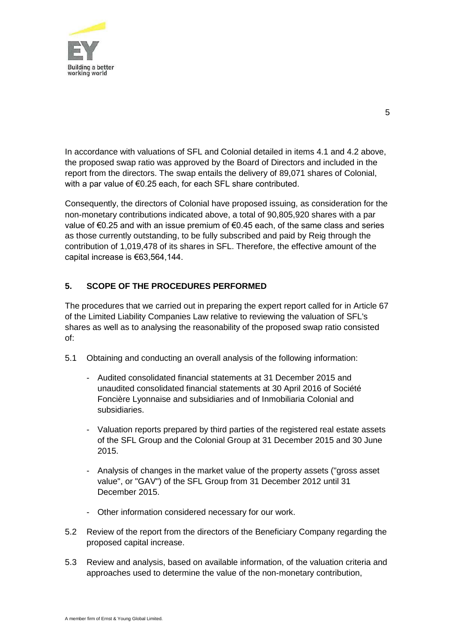

In accordance with valuations of SFL and Colonial detailed in items 4.1 and 4.2 above, the proposed swap ratio was approved by the Board of Directors and included in the report from the directors. The swap entails the delivery of 89,071 shares of Colonial, with a par value of €0.25 each, for each SFL share contributed.

Consequently, the directors of Colonial have proposed issuing, as consideration for the non-monetary contributions indicated above, a total of 90,805,920 shares with a par value of €0.25 and with an issue premium of €0.45 each, of the same class and series as those currently outstanding, to be fully subscribed and paid by Reig through the contribution of 1,019,478 of its shares in SFL. Therefore, the effective amount of the capital increase is €63,564,144.

# **5. SCOPE OF THE PROCEDURES PERFORMED**

The procedures that we carried out in preparing the expert report called for in Article 67 of the Limited Liability Companies Law relative to reviewing the valuation of SFL's shares as well as to analysing the reasonability of the proposed swap ratio consisted of:

- 5.1 Obtaining and conducting an overall analysis of the following information:
	- Audited consolidated financial statements at 31 December 2015 and unaudited consolidated financial statements at 30 April 2016 of Société Foncière Lyonnaise and subsidiaries and of Inmobiliaria Colonial and subsidiaries.
	- Valuation reports prepared by third parties of the registered real estate assets of the SFL Group and the Colonial Group at 31 December 2015 and 30 June 2015.
	- Analysis of changes in the market value of the property assets ("gross asset value", or "GAV") of the SFL Group from 31 December 2012 until 31 December 2015.
	- Other information considered necessary for our work.
- 5.2 Review of the report from the directors of the Beneficiary Company regarding the proposed capital increase.
- 5.3 Review and analysis, based on available information, of the valuation criteria and approaches used to determine the value of the non-monetary contribution,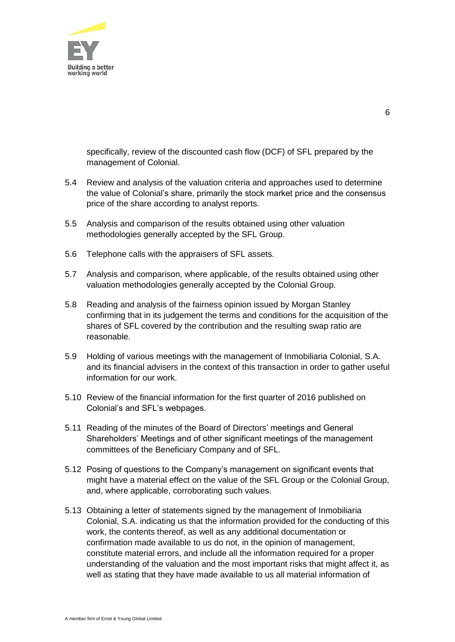

specifically, review of the discounted cash flow (DCF) of SFL prepared by the management of Colonial.

- 5.4 Review and analysis of the valuation criteria and approaches used to determine the value of Colonial's share, primarily the stock market price and the consensus price of the share according to analyst reports.
- 5.5 Analysis and comparison of the results obtained using other valuation methodologies generally accepted by the SFL Group.
- 5.6 Telephone calls with the appraisers of SFL assets.
- 5.7 Analysis and comparison, where applicable, of the results obtained using other valuation methodologies generally accepted by the Colonial Group.
- 5.8 Reading and analysis of the fairness opinion issued by Morgan Stanley confirming that in its judgement the terms and conditions for the acquisition of the shares of SFL covered by the contribution and the resulting swap ratio are reasonable.
- 5.9 Holding of various meetings with the management of Inmobiliaria Colonial, S.A. and its financial advisers in the context of this transaction in order to gather useful information for our work.
- 5.10 Review of the financial information for the first quarter of 2016 published on Colonial's and SFL's webpages.
- 5.11 Reading of the minutes of the Board of Directors' meetings and General Shareholders' Meetings and of other significant meetings of the management committees of the Beneficiary Company and of SFL.
- 5.12 Posing of questions to the Company's management on significant events that might have a material effect on the value of the SFL Group or the Colonial Group, and, where applicable, corroborating such values.
- 5.13 Obtaining a letter of statements signed by the management of Inmobiliaria Colonial, S.A. indicating us that the information provided for the conducting of this work, the contents thereof, as well as any additional documentation or confirmation made available to us do not, in the opinion of management, constitute material errors, and include all the information required for a proper understanding of the valuation and the most important risks that might affect it, as well as stating that they have made available to us all material information of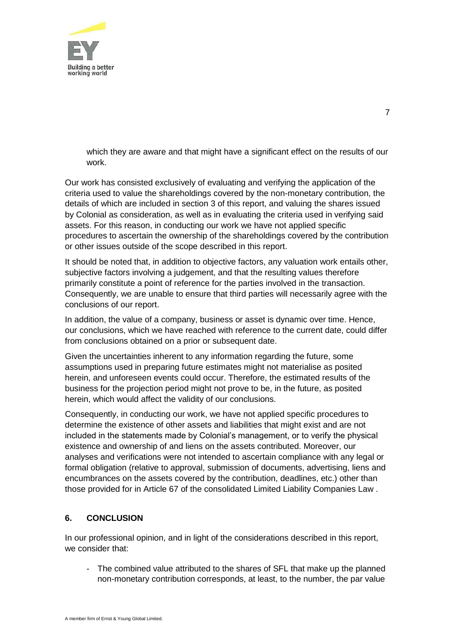

which they are aware and that might have a significant effect on the results of our work.

Our work has consisted exclusively of evaluating and verifying the application of the criteria used to value the shareholdings covered by the non-monetary contribution, the details of which are included in section 3 of this report, and valuing the shares issued by Colonial as consideration, as well as in evaluating the criteria used in verifying said assets. For this reason, in conducting our work we have not applied specific procedures to ascertain the ownership of the shareholdings covered by the contribution or other issues outside of the scope described in this report.

It should be noted that, in addition to objective factors, any valuation work entails other, subjective factors involving a judgement, and that the resulting values therefore primarily constitute a point of reference for the parties involved in the transaction. Consequently, we are unable to ensure that third parties will necessarily agree with the conclusions of our report.

In addition, the value of a company, business or asset is dynamic over time. Hence, our conclusions, which we have reached with reference to the current date, could differ from conclusions obtained on a prior or subsequent date.

Given the uncertainties inherent to any information regarding the future, some assumptions used in preparing future estimates might not materialise as posited herein, and unforeseen events could occur. Therefore, the estimated results of the business for the projection period might not prove to be, in the future, as posited herein, which would affect the validity of our conclusions.

Consequently, in conducting our work, we have not applied specific procedures to determine the existence of other assets and liabilities that might exist and are not included in the statements made by Colonial's management, or to verify the physical existence and ownership of and liens on the assets contributed. Moreover, our analyses and verifications were not intended to ascertain compliance with any legal or formal obligation (relative to approval, submission of documents, advertising, liens and encumbrances on the assets covered by the contribution, deadlines, etc.) other than those provided for in Article 67 of the consolidated Limited Liability Companies Law .

# **6. CONCLUSION**

In our professional opinion, and in light of the considerations described in this report, we consider that:

- The combined value attributed to the shares of SFL that make up the planned non-monetary contribution corresponds, at least, to the number, the par value

7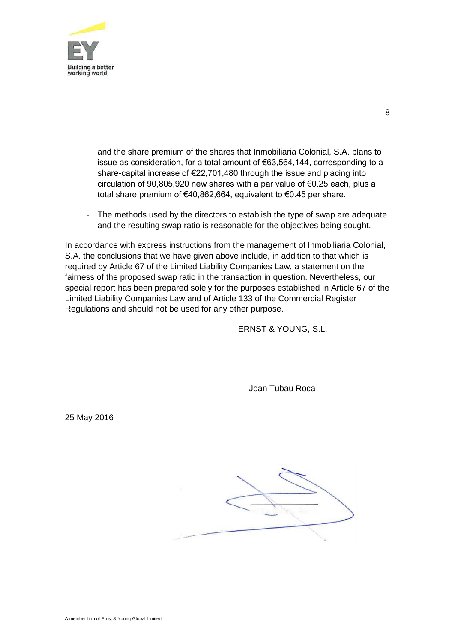

and the share premium of the shares that Inmobiliaria Colonial, S.A. plans to issue as consideration, for a total amount of €63,564,144, corresponding to a share-capital increase of €22,701,480 through the issue and placing into circulation of 90,805,920 new shares with a par value of €0.25 each, plus a total share premium of €40,862,664, equivalent to €0.45 per share.

- The methods used by the directors to establish the type of swap are adequate and the resulting swap ratio is reasonable for the objectives being sought.

In accordance with express instructions from the management of Inmobiliaria Colonial, S.A. the conclusions that we have given above include, in addition to that which is required by Article 67 of the Limited Liability Companies Law, a statement on the fairness of the proposed swap ratio in the transaction in question. Nevertheless, our special report has been prepared solely for the purposes established in Article 67 of the Limited Liability Companies Law and of Article 133 of the Commercial Register Regulations and should not be used for any other purpose.

ERNST & YOUNG, S.L.

Joan Tubau Roca

25 May 2016

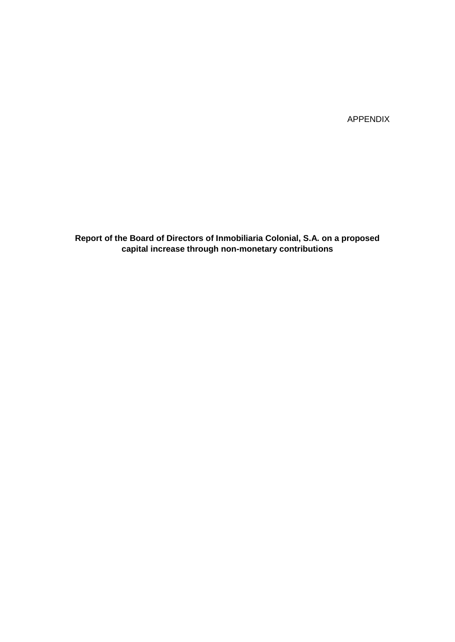APPENDIX

**Report of the Board of Directors of Inmobiliaria Colonial, S.A. on a proposed capital increase through non-monetary contributions**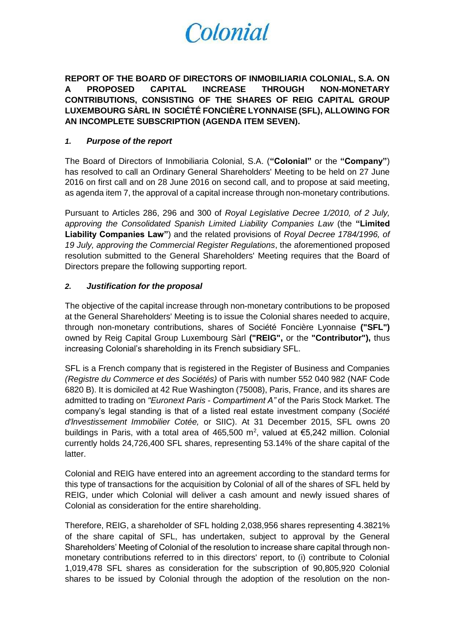# Colonial

**REPORT OF THE BOARD OF DIRECTORS OF INMOBILIARIA COLONIAL, S.A. ON A PROPOSED CAPITAL INCREASE THROUGH NON-MONETARY CONTRIBUTIONS, CONSISTING OF THE SHARES OF REIG CAPITAL GROUP LUXEMBOURG SÀRL IN SOCIÉTÉ FONCIÈRE LYONNAISE (SFL), ALLOWING FOR AN INCOMPLETE SUBSCRIPTION (AGENDA ITEM SEVEN).**

#### *1. Purpose of the report*

The Board of Directors of Inmobiliaria Colonial, S.A. (**"Colonial"** or the **"Company"**) has resolved to call an Ordinary General Shareholders' Meeting to be held on 27 June 2016 on first call and on 28 June 2016 on second call, and to propose at said meeting, as agenda item 7, the approval of a capital increase through non-monetary contributions.

Pursuant to Articles 286, 296 and 300 of *Royal Legislative Decree 1/2010, of 2 July, approving the Consolidated Spanish Limited Liability Companies Law* (the **"Limited Liability Companies Law"**) and the related provisions of *Royal Decree 1784/1996, of 19 July, approving the Commercial Register Regulations*, the aforementioned proposed resolution submitted to the General Shareholders' Meeting requires that the Board of Directors prepare the following supporting report.

# *2. Justification for the proposal*

The objective of the capital increase through non-monetary contributions to be proposed at the General Shareholders' Meeting is to issue the Colonial shares needed to acquire, through non-monetary contributions, shares of Société Foncière Lyonnaise **("SFL")**  owned by Reig Capital Group Luxembourg Sàrl **("REIG",** or the **"Contributor"),** thus increasing Colonial's shareholding in its French subsidiary SFL.

SFL is a French company that is registered in the Register of Business and Companies *(Registre du Commerce et des Sociétés)* of Paris with number 552 040 982 (NAF Code 6820 B). It is domiciled at 42 Rue Washington (75008), Paris, France, and its shares are admitted to trading on *"Euronext Paris - Compartiment A"* of the Paris Stock Market. The company's legal standing is that of a listed real estate investment company (*Société d'lnvestissement Immobilier Cotée,* or SIIC). At 31 December 2015, SFL owns 20 buildings in Paris, with a total area of 465,500 m<sup>2</sup>, valued at  $\epsilon$ 5,242 million. Colonial currently holds 24,726,400 SFL shares, representing 53.14% of the share capital of the latter.

Colonial and REIG have entered into an agreement according to the standard terms for this type of transactions for the acquisition by Colonial of all of the shares of SFL held by REIG, under which Colonial will deliver a cash amount and newly issued shares of Colonial as consideration for the entire shareholding.

Therefore, REIG, a shareholder of SFL holding 2,038,956 shares representing 4.3821% of the share capital of SFL, has undertaken, subject to approval by the General Shareholders' Meeting of Colonial of the resolution to increase share capital through nonmonetary contributions referred to in this directors' report, to (i) contribute to Colonial 1,019,478 SFL shares as consideration for the subscription of 90,805,920 Colonial shares to be issued by Colonial through the adoption of the resolution on the non-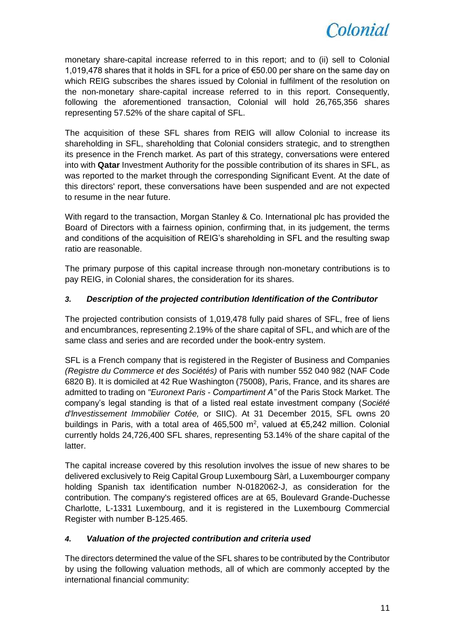

monetary share-capital increase referred to in this report; and to (ii) sell to Colonial 1,019,478 shares that it holds in SFL for a price of €50.00 per share on the same day on which REIG subscribes the shares issued by Colonial in fulfilment of the resolution on the non-monetary share-capital increase referred to in this report. Consequently, following the aforementioned transaction, Colonial will hold 26,765,356 shares representing 57.52% of the share capital of SFL.

The acquisition of these SFL shares from REIG will allow Colonial to increase its shareholding in SFL, shareholding that Colonial considers strategic, and to strengthen its presence in the French market. As part of this strategy, conversations were entered into with **Qatar** Investment Authority for the possible contribution of its shares in SFL, as was reported to the market through the corresponding Significant Event. At the date of this directors' report, these conversations have been suspended and are not expected to resume in the near future.

With regard to the transaction, Morgan Stanley & Co. International plc has provided the Board of Directors with a fairness opinion, confirming that, in its judgement, the terms and conditions of the acquisition of REIG's shareholding in SFL and the resulting swap ratio are reasonable.

The primary purpose of this capital increase through non-monetary contributions is to pay REIG, in Colonial shares, the consideration for its shares.

# *3. Description of the projected contribution Identification of the Contributor*

The projected contribution consists of 1,019,478 fully paid shares of SFL, free of liens and encumbrances, representing 2.19% of the share capital of SFL, and which are of the same class and series and are recorded under the book-entry system.

SFL is a French company that is registered in the Register of Business and Companies *(Registre du Commerce et des Sociétés)* of Paris with number 552 040 982 (NAF Code 6820 B). It is domiciled at 42 Rue Washington (75008), Paris, France, and its shares are admitted to trading on *"Euronext Paris - Compartiment A"* of the Paris Stock Market. The company's legal standing is that of a listed real estate investment company (*Société d'lnvestissement Immobilier Cotée,* or SIIC). At 31 December 2015, SFL owns 20 buildings in Paris, with a total area of 465,500 m<sup>2</sup>, valued at  $\epsilon$ 5,242 million. Colonial currently holds 24,726,400 SFL shares, representing 53.14% of the share capital of the latter.

The capital increase covered by this resolution involves the issue of new shares to be delivered exclusively to Reig Capital Group Luxembourg Sàrl, a Luxembourger company holding Spanish tax identification number N-0182062-J, as consideration for the contribution. The company's registered offices are at 65, Boulevard Grande-Duchesse Charlotte, L-1331 Luxembourg, and it is registered in the Luxembourg Commercial Register with number B-125.465.

#### *4. Valuation of the projected contribution and criteria used*

The directors determined the value of the SFL shares to be contributed by the Contributor by using the following valuation methods, all of which are commonly accepted by the international financial community: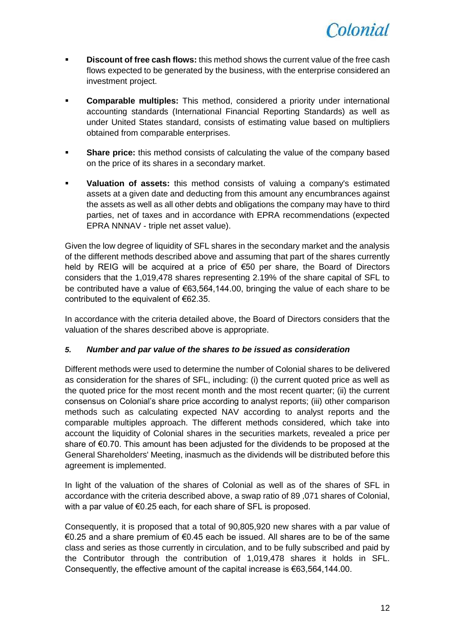

- **Discount of free cash flows:** this method shows the current value of the free cash flows expected to be generated by the business, with the enterprise considered an investment project.
- **Comparable multiples:** This method, considered a priority under international accounting standards (International Financial Reporting Standards) as well as under United States standard, consists of estimating value based on multipliers obtained from comparable enterprises.
- **Share price:** this method consists of calculating the value of the company based on the price of its shares in a secondary market.
- **Valuation of assets:** this method consists of valuing a company's estimated assets at a given date and deducting from this amount any encumbrances against the assets as well as all other debts and obligations the company may have to third parties, net of taxes and in accordance with EPRA recommendations (expected EPRA NNNAV - triple net asset value).

Given the low degree of liquidity of SFL shares in the secondary market and the analysis of the different methods described above and assuming that part of the shares currently held by REIG will be acquired at a price of €50 per share, the Board of Directors considers that the 1,019,478 shares representing 2.19% of the share capital of SFL to be contributed have a value of €63,564,144.00, bringing the value of each share to be contributed to the equivalent of €62.35.

In accordance with the criteria detailed above, the Board of Directors considers that the valuation of the shares described above is appropriate.

#### *5. Number and par value of the shares to be issued as consideration*

Different methods were used to determine the number of Colonial shares to be delivered as consideration for the shares of SFL, including: (i) the current quoted price as well as the quoted price for the most recent month and the most recent quarter; (ii) the current consensus on Colonial's share price according to analyst reports; (iii) other comparison methods such as calculating expected NAV according to analyst reports and the comparable multiples approach. The different methods considered, which take into account the liquidity of Colonial shares in the securities markets, revealed a price per share of €0.70. This amount has been adjusted for the dividends to be proposed at the General Shareholders' Meeting, inasmuch as the dividends will be distributed before this agreement is implemented.

In light of the valuation of the shares of Colonial as well as of the shares of SFL in accordance with the criteria described above, a swap ratio of 89 ,071 shares of Colonial, with a par value of €0.25 each, for each share of SFL is proposed.

Consequently, it is proposed that a total of 90,805,920 new shares with a par value of €0.25 and a share premium of €0.45 each be issued. All shares are to be of the same class and series as those currently in circulation, and to be fully subscribed and paid by the Contributor through the contribution of 1,019,478 shares it holds in SFL. Consequently, the effective amount of the capital increase is  $€63,564,144.00$ .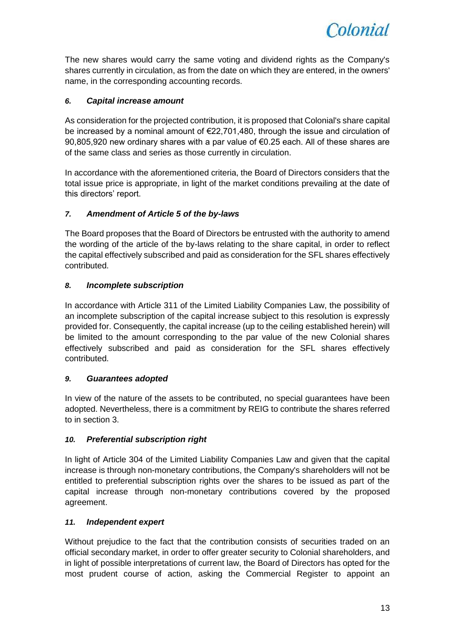

The new shares would carry the same voting and dividend rights as the Company's shares currently in circulation, as from the date on which they are entered, in the owners' name, in the corresponding accounting records.

# *6. Capital increase amount*

As consideration for the projected contribution, it is proposed that Colonial's share capital be increased by a nominal amount of €22,701,480, through the issue and circulation of 90,805,920 new ordinary shares with a par value of €0.25 each. All of these shares are of the same class and series as those currently in circulation.

In accordance with the aforementioned criteria, the Board of Directors considers that the total issue price is appropriate, in light of the market conditions prevailing at the date of this directors' report.

# *7. Amendment of Article 5 of the by-laws*

The Board proposes that the Board of Directors be entrusted with the authority to amend the wording of the article of the by-laws relating to the share capital, in order to reflect the capital effectively subscribed and paid as consideration for the SFL shares effectively contributed.

# *8. Incomplete subscription*

In accordance with Article 311 of the Limited Liability Companies Law, the possibility of an incomplete subscription of the capital increase subject to this resolution is expressly provided for. Consequently, the capital increase (up to the ceiling established herein) will be limited to the amount corresponding to the par value of the new Colonial shares effectively subscribed and paid as consideration for the SFL shares effectively contributed.

#### *9. Guarantees adopted*

In view of the nature of the assets to be contributed, no special guarantees have been adopted. Nevertheless, there is a commitment by REIG to contribute the shares referred to in section 3.

#### *10. Preferential subscription right*

In light of Article 304 of the Limited Liability Companies Law and given that the capital increase is through non-monetary contributions, the Company's shareholders will not be entitled to preferential subscription rights over the shares to be issued as part of the capital increase through non-monetary contributions covered by the proposed agreement.

#### *11. Independent expert*

Without prejudice to the fact that the contribution consists of securities traded on an official secondary market, in order to offer greater security to Colonial shareholders, and in light of possible interpretations of current law, the Board of Directors has opted for the most prudent course of action, asking the Commercial Register to appoint an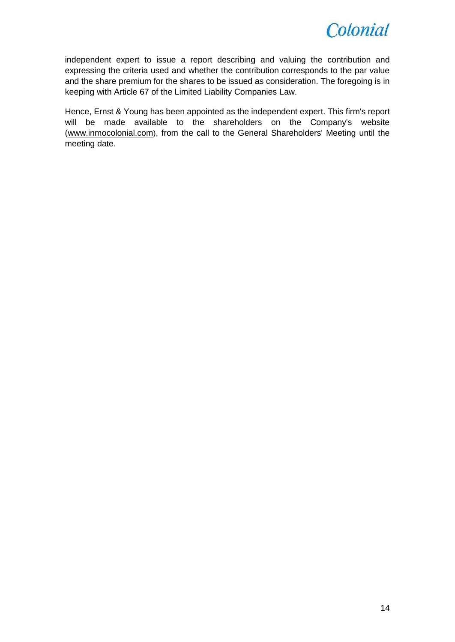

independent expert to issue a report describing and valuing the contribution and expressing the criteria used and whether the contribution corresponds to the par value and the share premium for the shares to be issued as consideration. The foregoing is in keeping with Article 67 of the Limited Liability Companies Law.

Hence, Ernst & Young has been appointed as the independent expert. This firm's report will be made available to the shareholders on the Company's website [\(www.inmocolonial.com](http://www.inmocolonial.com/)), from the call to the General Shareholders' Meeting until the meeting date.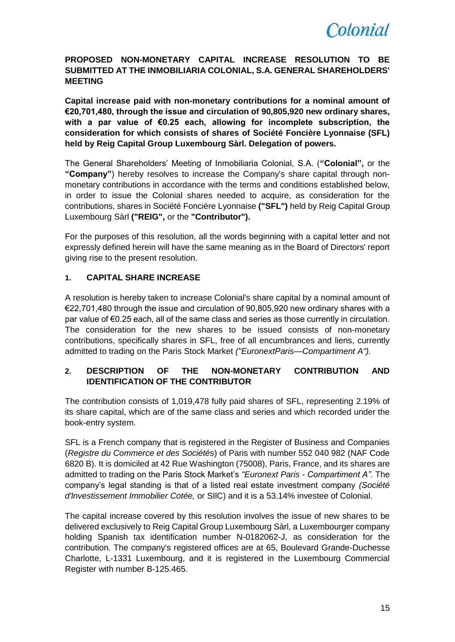

# **PROPOSED NON-MONETARY CAPITAL INCREASE RESOLUTION TO BE SUBMITTED AT THE INMOBILIARIA COLONIAL, S.A. GENERAL SHAREHOLDERS' MEETING**

**Capital increase paid with non-monetary contributions for a nominal amount of €20,701,480, through the issue and circulation of 90,805,920 new ordinary shares, with a par value of €0.25 each, allowing for incomplete subscription, the consideration for which consists of shares of Société Foncière Lyonnaise (SFL) held by Reig Capital Group Luxembourg Sàrl. Delegation of powers.**

The General Shareholders' Meeting of Inmobiliaria Colonial, S.A. (**"Colonial",** or the **"Company"**) hereby resolves to increase the Company's share capital through nonmonetary contributions in accordance with the terms and conditions established below, in order to issue the Colonial shares needed to acquire, as consideration for the contributions, shares in Société Foncière Lyonnaise **("SFL")** held by Reig Capital Group Luxembourg Sàrl **("REIG",** or the **"Contributor").**

For the purposes of this resolution, all the words beginning with a capital letter and not expressly defined herein will have the same meaning as in the Board of Directors' report giving rise to the present resolution.

# **1. CAPITAL SHARE INCREASE**

A resolution is hereby taken to increase Colonial's share capital by a nominal amount of €22,701,480 through the issue and circulation of 90,805,920 new ordinary shares with a par value of €0.25 each, all of the same class and series as those currently in circulation. The consideration for the new shares to be issued consists of non-monetary contributions, specifically shares in SFL, free of all encumbrances and liens, currently admitted to trading on the Paris Stock Market *("EuronextParis—Compartiment A").*

# **2. DESCRIPTION OF THE NON-MONETARY CONTRIBUTION AND IDENTIFICATION OF THE CONTRIBUTOR**

The contribution consists of 1,019,478 fully paid shares of SFL, representing 2.19% of its share capital, which are of the same class and series and which recorded under the book-entry system.

SFL is a French company that is registered in the Register of Business and Companies (*Registre du Commerce et des Sociétés*) of Paris with number 552 040 982 (NAF Code 6820 B). It is domiciled at 42 Rue Washington (75008), Paris, France, and its shares are admitted to trading on the Paris Stock Market's *"Euronext Paris - Compartiment A"*. The company's legal standing is that of a listed real estate investment company *(Société d'lnvestissement Immobilier Cotée,* or SIlC) and it is a 53.14% investee of Colonial.

The capital increase covered by this resolution involves the issue of new shares to be delivered exclusively to Reig Capital Group Luxembourg Sàrl, a Luxembourger company holding Spanish tax identification number N-0182062-J, as consideration for the contribution. The company's registered offices are at 65, Boulevard Grande-Duchesse Charlotte, L-1331 Luxembourg, and it is registered in the Luxembourg Commercial Register with number B-125.465.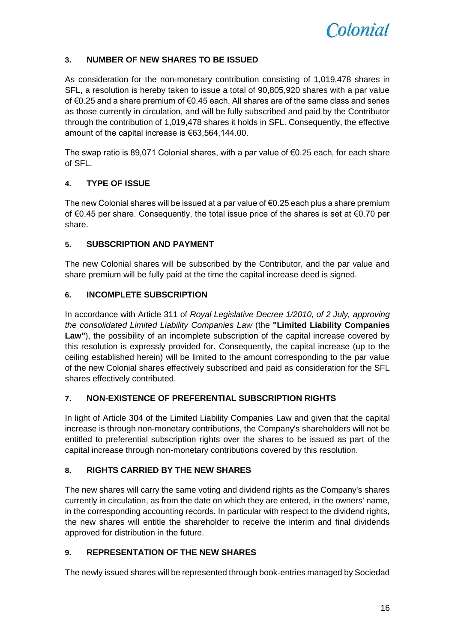

# **3. NUMBER OF NEW SHARES TO BE ISSUED**

As consideration for the non-monetary contribution consisting of 1,019,478 shares in SFL, a resolution is hereby taken to issue a total of 90,805,920 shares with a par value of €0.25 and a share premium of €0.45 each. All shares are of the same class and series as those currently in circulation, and will be fully subscribed and paid by the Contributor through the contribution of 1,019,478 shares it holds in SFL. Consequently, the effective amount of the capital increase is €63,564,144.00.

The swap ratio is 89,071 Colonial shares, with a par value of  $\epsilon$ 0.25 each, for each share of SFL.

# **4. TYPE OF ISSUE**

The new Colonial shares will be issued at a par value of  $\epsilon$ 0.25 each plus a share premium of €0.45 per share. Consequently, the total issue price of the shares is set at €0.70 per share.

#### **5. SUBSCRIPTION AND PAYMENT**

The new Colonial shares will be subscribed by the Contributor, and the par value and share premium will be fully paid at the time the capital increase deed is signed.

# **6. INCOMPLETE SUBSCRIPTION**

In accordance with Article 311 of *Royal Legislative Decree 1/2010, of 2 July, approving the consolidated Limited Liability Companies Law* (the **"Limited Liability Companies Law"**), the possibility of an incomplete subscription of the capital increase covered by this resolution is expressly provided for. Consequently, the capital increase (up to the ceiling established herein) will be limited to the amount corresponding to the par value of the new Colonial shares effectively subscribed and paid as consideration for the SFL shares effectively contributed.

#### **7. NON-EXISTENCE OF PREFERENTIAL SUBSCRIPTION RIGHTS**

In light of Article 304 of the Limited Liability Companies Law and given that the capital increase is through non-monetary contributions, the Company's shareholders will not be entitled to preferential subscription rights over the shares to be issued as part of the capital increase through non-monetary contributions covered by this resolution.

#### **8. RIGHTS CARRIED BY THE NEW SHARES**

The new shares will carry the same voting and dividend rights as the Company's shares currently in circulation, as from the date on which they are entered, in the owners' name, in the corresponding accounting records. In particular with respect to the dividend rights, the new shares will entitle the shareholder to receive the interim and final dividends approved for distribution in the future.

# **9. REPRESENTATION OF THE NEW SHARES**

The newly issued shares will be represented through book-entries managed by Sociedad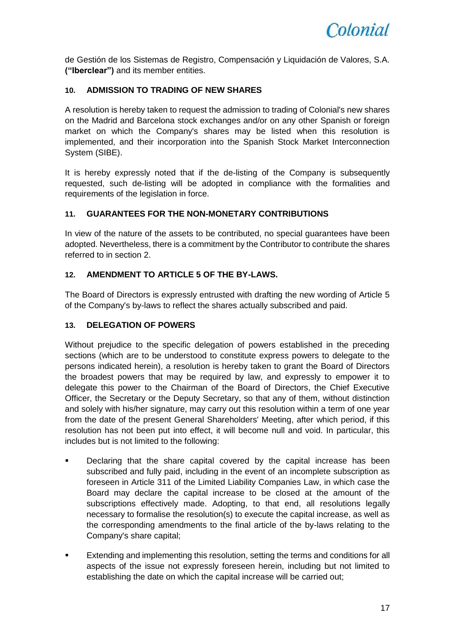

de Gestión de los Sistemas de Registro, Compensación y Liquidación de Valores, S.A. **("Iberclear")** and its member entities.

# **10. ADMISSION TO TRADING OF NEW SHARES**

A resolution is hereby taken to request the admission to trading of Colonial's new shares on the Madrid and Barcelona stock exchanges and/or on any other Spanish or foreign market on which the Company's shares may be listed when this resolution is implemented, and their incorporation into the Spanish Stock Market Interconnection System (SIBE).

It is hereby expressly noted that if the de-listing of the Company is subsequently requested, such de-listing will be adopted in compliance with the formalities and requirements of the legislation in force.

# **11. GUARANTEES FOR THE NON-MONETARY CONTRIBUTIONS**

In view of the nature of the assets to be contributed, no special guarantees have been adopted. Nevertheless, there is a commitment by the Contributor to contribute the shares referred to in section 2.

# **12. AMENDMENT TO ARTICLE 5 OF THE BY-LAWS.**

The Board of Directors is expressly entrusted with drafting the new wording of Article 5 of the Company's by-laws to reflect the shares actually subscribed and paid.

#### **13. DELEGATION OF POWERS**

Without prejudice to the specific delegation of powers established in the preceding sections (which are to be understood to constitute express powers to delegate to the persons indicated herein), a resolution is hereby taken to grant the Board of Directors the broadest powers that may be required by law, and expressly to empower it to delegate this power to the Chairman of the Board of Directors, the Chief Executive Officer, the Secretary or the Deputy Secretary, so that any of them, without distinction and solely with his/her signature, may carry out this resolution within a term of one year from the date of the present General Shareholders' Meeting, after which period, if this resolution has not been put into effect, it will become null and void. In particular, this includes but is not limited to the following:

- Declaring that the share capital covered by the capital increase has been subscribed and fully paid, including in the event of an incomplete subscription as foreseen in Article 311 of the Limited Liability Companies Law, in which case the Board may declare the capital increase to be closed at the amount of the subscriptions effectively made. Adopting, to that end, all resolutions legally necessary to formalise the resolution(s) to execute the capital increase, as well as the corresponding amendments to the final article of the by-laws relating to the Company's share capital;
- Extending and implementing this resolution, setting the terms and conditions for all aspects of the issue not expressly foreseen herein, including but not limited to establishing the date on which the capital increase will be carried out;